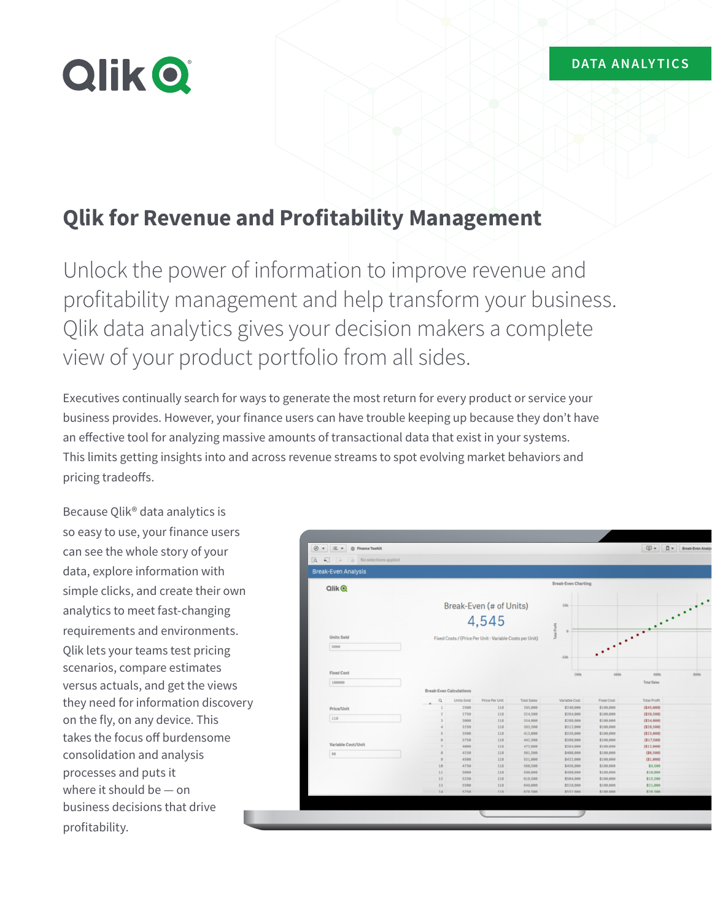# **Qlik O**

## **Qlik for Revenue and Profitability Management**

Unlock the power of information to improve revenue and profitability management and help transform your business. Qlik data analytics gives your decision makers a complete view of your product portfolio from all sides.

Executives continually search for ways to generate the most return for every product or service your business provides. However, your finance users can have trouble keeping up because they don't have an effective tool for analyzing massive amounts of transactional data that exist in your systems. This limits getting insights into and across revenue streams to spot evolving market behaviors and pricing tradeoffs.

Because Qlik® data analytics is so easy to use, your finance users can see the whole story of your data, explore information with simple clicks, and create their own analytics to meet fast-changing requirements and environments. Qlik lets your teams test pricing scenarios, compare estimates versus actuals, and get the views they need for information discovery on the fly, on any device. This takes the focus off burdensome consolidation and analysis processes and puts it where it should be — on business decisions that drive profitability.

| $Q$ lik $Q$        |                |                                |                                                          |                    | <b>Break-Even Charting</b> |                        |                            |
|--------------------|----------------|--------------------------------|----------------------------------------------------------|--------------------|----------------------------|------------------------|----------------------------|
|                    |                | Break-Even (# of Units)        |                                                          |                    |                            |                        |                            |
|                    |                | 4,545                          |                                                          |                    |                            |                        |                            |
| <b>Units Sold</b>  |                |                                | Fixed Costs / (Price Per Unit - Variable Costs per Unit) |                    | Total Pro                  |                        |                            |
| 5000               |                |                                |                                                          |                    | $-50k$                     | ٠                      |                            |
| <b>Fixed Cost</b>  |                |                                |                                                          |                    |                            |                        |                            |
| 100000             |                |                                |                                                          |                    | 200k                       | 400k                   | 600k<br><b>Total Sales</b> |
|                    |                |                                |                                                          |                    |                            |                        |                            |
|                    |                | <b>Break-Even Calculations</b> |                                                          |                    |                            |                        |                            |
|                    | $\alpha$       | <b>Units Sold</b>              | Price Per Unit                                           | <b>Total Sales</b> | Variable Cost              | Fixed Cost             | <b>Total Profit</b>        |
| Price/Unit         | $\mathbf{1}$   | 2500                           | 118                                                      | 295,000            | \$240,000                  | \$100,000              | ( \$45, 000)               |
|                    | $\overline{2}$ | 2750                           | 118                                                      | 324,500            | \$264,000                  | \$100,000              | (339, 500)                 |
| 118                | $\mathcal{R}$  | 3000                           | 118                                                      | 354,000            | \$288,000                  | \$100,000              | ( \$34, 000)               |
|                    | $\overline{a}$ | 3250                           | 118                                                      | 383,500            | \$312,000                  | \$100,000              | ( \$28, 500)               |
|                    | 5              | 3500                           | 118                                                      | 413,000            | \$336,000                  | \$100,000              | ( \$23, 000)               |
| Variable Cost/Unit | 6              | 3750                           | 118                                                      | 442,500            | \$360,000                  | \$100,000              | (\$17,500)                 |
|                    | $\overline{z}$ | 4000                           | 118                                                      | 472,000            | \$384,000                  | \$100,000              | ( \$12, 000)               |
| 96                 | 8<br>$\Omega$  | 4258<br>4500                   | 118<br>118                                               | 501,500<br>531,000 | \$408,000<br>\$432,000     | \$100,000<br>\$100,000 | (86, 500)                  |
|                    |                | 4750                           |                                                          |                    |                            |                        | (31, 000)                  |
|                    | 10<br>11       | 5000                           | 118<br>118                                               | 560,500<br>590,000 | \$456,000<br>\$480,000     | \$100,000<br>\$100,000 | \$4,500<br>\$10,000        |
|                    | 12             | 5250                           | 118                                                      | 619,500            | \$584,000                  | \$100,000              | \$15,500                   |
|                    | 13             | 5500                           | 118                                                      | 649,000            | \$528,000                  | \$100,000              | \$21,000                   |